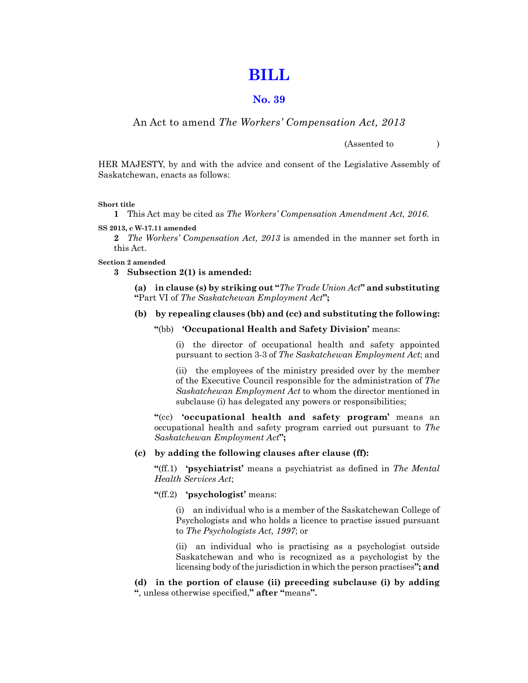# **[BILL](https://publications.saskatchewan.ca:443/api/v1/products/83914/formats/97076/download)**

# **No. 39**

# An Act to amend *The Workers' Compensation Act, 2013*

(Assented to )

HER MAJESTY, by and with the advice and consent of the Legislative Assembly of Saskatchewan, enacts as follows:

#### **Short title**

**1** This Act may be cited as *The Workers' Compensation Amendment Act, 2016*.

**SS 2013, c W-17.11 amended**

**2** *The Workers' Compensation Act, 2013* is amended in the manner set forth in this Act.

#### **Section 2 amended**

**3 Subsection 2(1) is amended:**

**(a) in clause (s) by striking out "***The Trade Union Act***" and substituting "**Part VI of *The Saskatchewan Employment Act***";**

#### **(b) by repealing clauses (bb) and (cc) and substituting the following:**

## **"**(bb) **'Occupational Health and Safety Division'** means:

(i) the director of occupational health and safety appointed pursuant to section 3-3 of *The Saskatchewan Employment Act*; and

(ii) the employees of the ministry presided over by the member of the Executive Council responsible for the administration of *The Saskatchewan Employment Act* to whom the director mentioned in subclause (i) has delegated any powers or responsibilities;

**"**(cc) **'occupational health and safety program'** means an occupational health and safety program carried out pursuant to *The Saskatchewan Employment Act***";**

#### **(c) by adding the following clauses after clause (ff):**

**"**(ff.1) **'psychiatrist'** means a psychiatrist as defined in *The Mental Health Services Act*;

#### **"**(ff.2) **'psychologist'** means:

(i) an individual who is a member of the Saskatchewan College of Psychologists and who holds a licence to practise issued pursuant to *The Psychologists Act, 1997*; or

(ii) an individual who is practising as a psychologist outside Saskatchewan and who is recognized as a psychologist by the licensing body of the jurisdiction in which the person practises**"; and**

**(d) in the portion of clause (ii) preceding subclause (i) by adding "**, unless otherwise specified,**" after "**means**".**